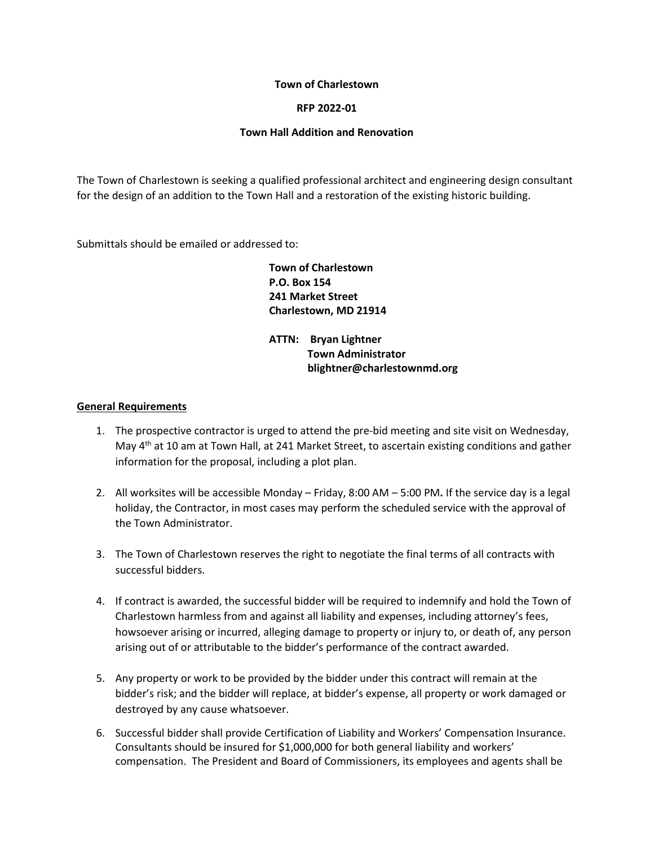#### **Town of Charlestown**

## **RFP 2022-01**

#### **Town Hall Addition and Renovation**

The Town of Charlestown is seeking a qualified professional architect and engineering design consultant for the design of an addition to the Town Hall and a restoration of the existing historic building.

Submittals should be emailed or addressed to:

**Town of Charlestown P.O. Box 154 241 Market Street Charlestown, MD 21914** 

**ATTN: Bryan Lightner Town Administrator blightner@charlestownmd.org**

#### **General Requirements**

- 1. The prospective contractor is urged to attend the pre-bid meeting and site visit on Wednesday, May 4<sup>th</sup> at 10 am at Town Hall, at 241 Market Street, to ascertain existing conditions and gather information for the proposal, including a plot plan.
- 2. All worksites will be accessible Monday Friday, 8:00 AM 5:00 PM**.** If the service day is a legal holiday, the Contractor, in most cases may perform the scheduled service with the approval of the Town Administrator.
- 3. The Town of Charlestown reserves the right to negotiate the final terms of all contracts with successful bidders.
- 4. If contract is awarded, the successful bidder will be required to indemnify and hold the Town of Charlestown harmless from and against all liability and expenses, including attorney's fees, howsoever arising or incurred, alleging damage to property or injury to, or death of, any person arising out of or attributable to the bidder's performance of the contract awarded.
- 5. Any property or work to be provided by the bidder under this contract will remain at the bidder's risk; and the bidder will replace, at bidder's expense, all property or work damaged or destroyed by any cause whatsoever.
- 6. Successful bidder shall provide Certification of Liability and Workers' Compensation Insurance. Consultants should be insured for \$1,000,000 for both general liability and workers' compensation. The President and Board of Commissioners, its employees and agents shall be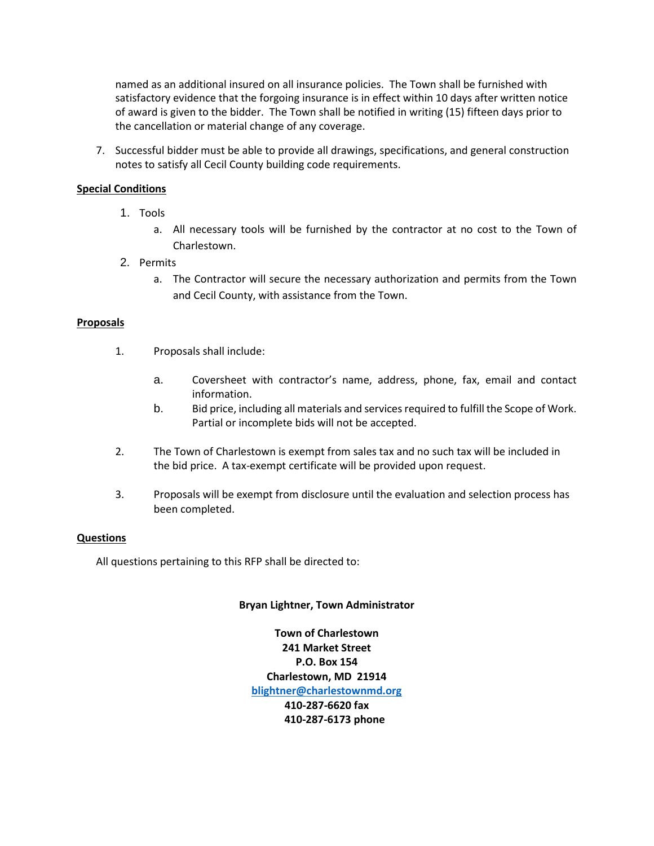named as an additional insured on all insurance policies. The Town shall be furnished with satisfactory evidence that the forgoing insurance is in effect within 10 days after written notice of award is given to the bidder. The Town shall be notified in writing (15) fifteen days prior to the cancellation or material change of any coverage.

7. Successful bidder must be able to provide all drawings, specifications, and general construction notes to satisfy all Cecil County building code requirements.

## **Special Conditions**

- 1. Tools
	- a. All necessary tools will be furnished by the contractor at no cost to the Town of Charlestown.
- 2. Permits
	- a. The Contractor will secure the necessary authorization and permits from the Town and Cecil County, with assistance from the Town.

## **Proposals**

- 1. Proposals shall include:
	- a. Coversheet with contractor's name, address, phone, fax, email and contact information.
	- b. Bid price, including all materials and services required to fulfill the Scope of Work. Partial or incomplete bids will not be accepted.
- 2. The Town of Charlestown is exempt from sales tax and no such tax will be included in the bid price. A tax-exempt certificate will be provided upon request.
- 3. Proposals will be exempt from disclosure until the evaluation and selection process has been completed.

## **Questions**

All questions pertaining to this RFP shall be directed to:

## **Bryan Lightner, Town Administrator**

**Town of Charlestown 241 Market Street P.O. Box 154 Charlestown, MD 21914 [blightner@charlestownmd.org](mailto:blightner@charlestownmd.org) 410-287-6620 fax 410-287-6173 phone**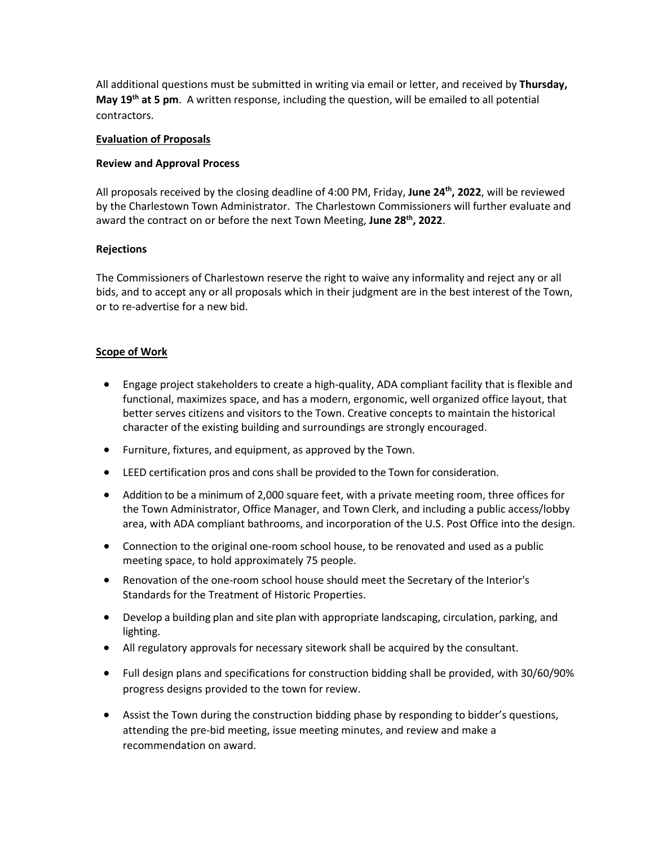All additional questions must be submitted in writing via email or letter, and received by **Thursday, May 19th at 5 pm**. A written response, including the question, will be emailed to all potential contractors.

#### **Evaluation of Proposals**

#### **Review and Approval Process**

All proposals received by the closing deadline of 4:00 PM, Friday, **June 24th, 2022**, will be reviewed by the Charlestown Town Administrator. The Charlestown Commissioners will further evaluate and award the contract on or before the next Town Meeting, **June 28th, 2022**.

## **Rejections**

The Commissioners of Charlestown reserve the right to waive any informality and reject any or all bids, and to accept any or all proposals which in their judgment are in the best interest of the Town, or to re-advertise for a new bid.

# **Scope of Work**

- Engage project stakeholders to create a high-quality, ADA compliant facility that is flexible and functional, maximizes space, and has a modern, ergonomic, well organized office layout, that better serves citizens and visitors to the Town. Creative concepts to maintain the historical character of the existing building and surroundings are strongly encouraged.
- Furniture, fixtures, and equipment, as approved by the Town.
- LEED certification pros and cons shall be provided to the Town for consideration.
- Addition to be a minimum of 2,000 square feet, with a private meeting room, three offices for the Town Administrator, Office Manager, and Town Clerk, and including a public access/lobby area, with ADA compliant bathrooms, and incorporation of the U.S. Post Office into the design.
- Connection to the original one-room school house, to be renovated and used as a public meeting space, to hold approximately 75 people.
- Renovation of the one-room school house should meet the Secretary of the Interior's Standards for the Treatment of Historic Properties.
- Develop a building plan and site plan with appropriate landscaping, circulation, parking, and lighting.
- All regulatory approvals for necessary sitework shall be acquired by the consultant.
- Full design plans and specifications for construction bidding shall be provided, with 30/60/90% progress designs provided to the town for review.
- Assist the Town during the construction bidding phase by responding to bidder's questions, attending the pre-bid meeting, issue meeting minutes, and review and make a recommendation on award.